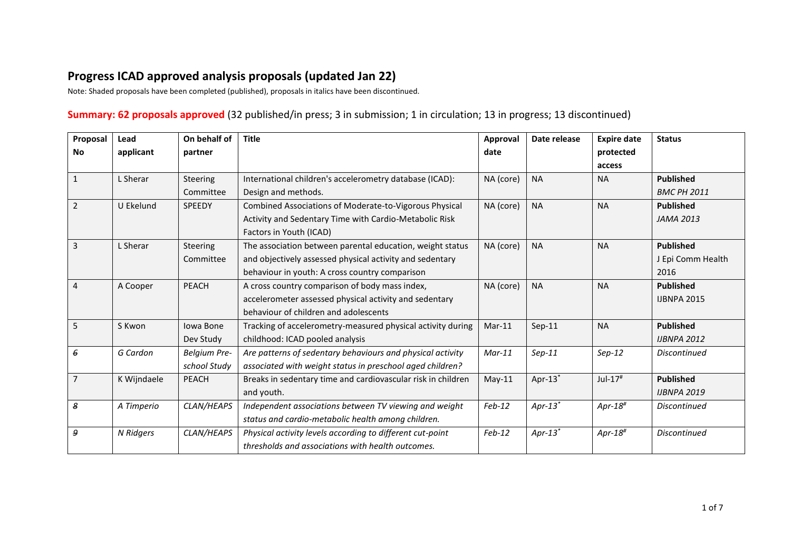## **Progress ICAD approved analysis proposals (updated Jan 22)**

Note: Shaded proposals have been completed (published), proposals in italics have been discontinued.

## **Summary: 62 proposals approved** (32 published/in press; 3 in submission; 1 in circulation; 13 in progress; 13 discontinued)

| Proposal       | Lead        | On behalf of | <b>Title</b>                                                 | Approval  | Date release          | <b>Expire date</b>     | <b>Status</b>       |
|----------------|-------------|--------------|--------------------------------------------------------------|-----------|-----------------------|------------------------|---------------------|
| <b>No</b>      | applicant   | partner      |                                                              | date      |                       | protected              |                     |
|                |             |              |                                                              |           |                       | access                 |                     |
| $\mathbf{1}$   | L Sherar    | Steering     | International children's accelerometry database (ICAD):      | NA (core) | <b>NA</b>             | <b>NA</b>              | <b>Published</b>    |
|                |             | Committee    | Design and methods.                                          |           |                       |                        | <b>BMC PH 2011</b>  |
| $\overline{2}$ | U Ekelund   | SPEEDY       | Combined Associations of Moderate-to-Vigorous Physical       | NA (core) | <b>NA</b>             | <b>NA</b>              | <b>Published</b>    |
|                |             |              | Activity and Sedentary Time with Cardio-Metabolic Risk       |           |                       |                        | <b>JAMA 2013</b>    |
|                |             |              | Factors in Youth (ICAD)                                      |           |                       |                        |                     |
| $\overline{3}$ | L Sherar    | Steering     | The association between parental education, weight status    | NA (core) | <b>NA</b>             | <b>NA</b>              | <b>Published</b>    |
|                |             | Committee    | and objectively assessed physical activity and sedentary     |           |                       |                        | J Epi Comm Health   |
|                |             |              | behaviour in youth: A cross country comparison               |           |                       |                        | 2016                |
| $\overline{4}$ | A Cooper    | <b>PEACH</b> | A cross country comparison of body mass index,               | NA (core) | <b>NA</b>             | <b>NA</b>              | <b>Published</b>    |
|                |             |              | accelerometer assessed physical activity and sedentary       |           |                       |                        | <b>IJBNPA 2015</b>  |
|                |             |              | behaviour of children and adolescents                        |           |                       |                        |                     |
| 5              | S Kwon      | Iowa Bone    | Tracking of accelerometry-measured physical activity during  | $Mar-11$  | $Sep-11$              | <b>NA</b>              | <b>Published</b>    |
|                |             | Dev Study    | childhood: ICAD pooled analysis                              |           |                       |                        | <b>IJBNPA 2012</b>  |
| 6              | G Cardon    | Belgium Pre- | Are patterns of sedentary behaviours and physical activity   | $Mar-11$  | $Sep-11$              | $Sep-12$               | <b>Discontinued</b> |
|                |             | school Study | associated with weight status in preschool aged children?    |           |                       |                        |                     |
| $\overline{7}$ | K Wijndaele | PEACH        | Breaks in sedentary time and cardiovascular risk in children | $May-11$  | Apr- $13^*$           | $Jul-17#$              | <b>Published</b>    |
|                |             |              | and youth.                                                   |           |                       |                        | <b>IJBNPA 2019</b>  |
| 8              | A Timperio  | CLAN/HEAPS   | Independent associations between TV viewing and weight       | $Feb-12$  | $Apr-13$ <sup>*</sup> | Apr- $18$ <sup>#</sup> | <b>Discontinued</b> |
|                |             |              | status and cardio-metabolic health among children.           |           |                       |                        |                     |
| 9              | N Ridgers   | CLAN/HEAPS   | Physical activity levels according to different cut-point    | $Feb-12$  | $Apr-13$ <sup>*</sup> | Apr- $18$ <sup>#</sup> | <b>Discontinued</b> |
|                |             |              | thresholds and associations with health outcomes.            |           |                       |                        |                     |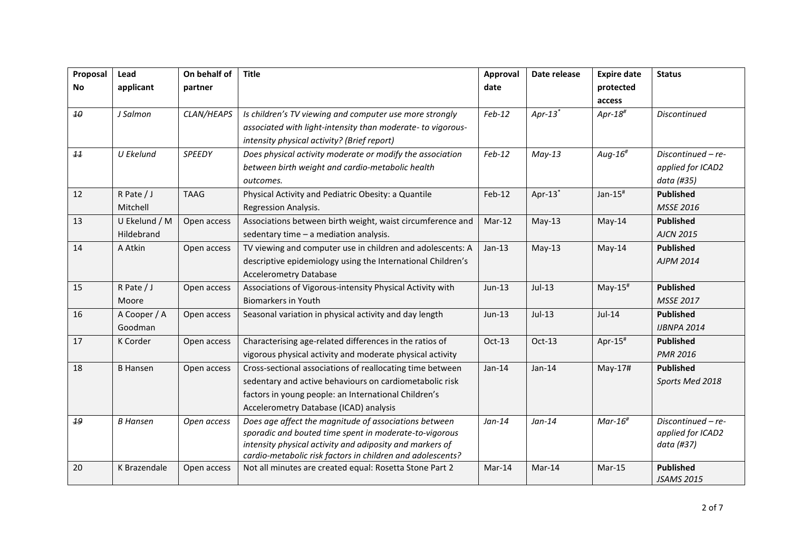| Proposal | Lead            | On behalf of | <b>Title</b>                                                                                                           | Approval | Date release          | <b>Expire date</b>      | <b>Status</b>       |
|----------|-----------------|--------------|------------------------------------------------------------------------------------------------------------------------|----------|-----------------------|-------------------------|---------------------|
| No       | applicant       | partner      |                                                                                                                        | date     |                       | protected               |                     |
|          |                 |              |                                                                                                                        |          |                       | access                  |                     |
| 10       | J Salmon        | CLAN/HEAPS   | Is children's TV viewing and computer use more strongly                                                                | $Feb-12$ | $Apr-13$ <sup>*</sup> | Apr-18 $#$              | <b>Discontinued</b> |
|          |                 |              | associated with light-intensity than moderate- to vigorous-                                                            |          |                       |                         |                     |
|          |                 |              | intensity physical activity? (Brief report)                                                                            |          |                       |                         |                     |
| 11       | U Ekelund       | SPEEDY       | Does physical activity moderate or modify the association                                                              | $Feb-12$ | $May-13$              | Aug- $16$ <sup>#</sup>  | Discontinued - re-  |
|          |                 |              | between birth weight and cardio-metabolic health                                                                       |          |                       |                         | applied for ICAD2   |
|          |                 |              | outcomes.                                                                                                              |          |                       |                         | data (#35)          |
| 12       | $R$ Pate / J    | <b>TAAG</b>  | Physical Activity and Pediatric Obesity: a Quantile                                                                    | $Feb-12$ | Apr- $13^*$           | Jan- $15$ <sup>#</sup>  | <b>Published</b>    |
|          | Mitchell        |              | Regression Analysis.                                                                                                   |          |                       |                         | <b>MSSE 2016</b>    |
| 13       | U Ekelund / M   | Open access  | Associations between birth weight, waist circumference and                                                             | $Mar-12$ | $May-13$              | $May-14$                | <b>Published</b>    |
|          | Hildebrand      |              | sedentary time - a mediation analysis.                                                                                 |          |                       |                         | <b>AJCN 2015</b>    |
| 14       | A Atkin         | Open access  | TV viewing and computer use in children and adolescents: A                                                             | $Jan-13$ | $May-13$              | $May-14$                | <b>Published</b>    |
|          |                 |              | descriptive epidemiology using the International Children's                                                            |          |                       |                         | <b>AJPM 2014</b>    |
|          |                 |              | <b>Accelerometry Database</b>                                                                                          |          |                       |                         |                     |
| 15       | R Pate / J      | Open access  | Associations of Vigorous-intensity Physical Activity with                                                              | Jun-13   | $Jul-13$              | $May-15#$               | <b>Published</b>    |
|          | Moore           |              | <b>Biomarkers in Youth</b>                                                                                             |          |                       |                         | <b>MSSE 2017</b>    |
| 16       | A Cooper / A    | Open access  | Seasonal variation in physical activity and day length                                                                 | $Jun-13$ | $Jul-13$              | Jul-14                  | <b>Published</b>    |
|          | Goodman         |              |                                                                                                                        |          |                       |                         | <b>IJBNPA 2014</b>  |
| 17       | K Corder        | Open access  | Characterising age-related differences in the ratios of                                                                | $Oct-13$ | Oct-13                | Apr- $15^{\texttt{\#}}$ | <b>Published</b>    |
|          |                 |              | vigorous physical activity and moderate physical activity                                                              |          |                       |                         | <b>PMR 2016</b>     |
| 18       | <b>B</b> Hansen | Open access  | Cross-sectional associations of reallocating time between                                                              | $Jan-14$ | $Jan-14$              | May-17#                 | <b>Published</b>    |
|          |                 |              | sedentary and active behaviours on cardiometabolic risk                                                                |          |                       |                         | Sports Med 2018     |
|          |                 |              | factors in young people: an International Children's                                                                   |          |                       |                         |                     |
|          |                 |              | Accelerometry Database (ICAD) analysis                                                                                 |          |                       |                         |                     |
| 19       | <b>B</b> Hansen | Open access  | Does age affect the magnitude of associations between                                                                  | $Jan-14$ | $Jan-14$              | $Mar-16#$               | Discontinued - re-  |
|          |                 |              | sporadic and bouted time spent in moderate-to-vigorous                                                                 |          |                       |                         | applied for ICAD2   |
|          |                 |              | intensity physical activity and adiposity and markers of<br>cardio-metabolic risk factors in children and adolescents? |          |                       |                         | data (#37)          |
| 20       | K Brazendale    | Open access  | Not all minutes are created equal: Rosetta Stone Part 2                                                                | $Mar-14$ | Mar-14                | $Mar-15$                | <b>Published</b>    |
|          |                 |              |                                                                                                                        |          |                       |                         | <b>JSAMS 2015</b>   |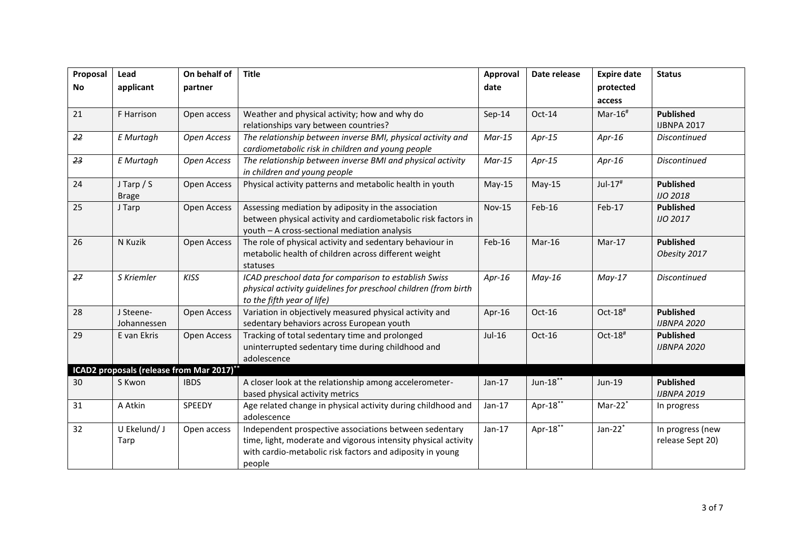| Proposal  | Lead                                                | On behalf of | <b>Title</b>                                                                              | Approval      | Date release | <b>Expire date</b> | <b>Status</b>                       |
|-----------|-----------------------------------------------------|--------------|-------------------------------------------------------------------------------------------|---------------|--------------|--------------------|-------------------------------------|
| <b>No</b> | applicant                                           | partner      |                                                                                           | date          |              | protected          |                                     |
|           |                                                     |              |                                                                                           |               |              | access             |                                     |
| 21        | F Harrison                                          | Open access  | Weather and physical activity; how and why do                                             | $Sep-14$      | Oct-14       | $Mar-16#$          | <b>Published</b>                    |
|           |                                                     |              | relationships vary between countries?                                                     |               |              |                    | <b>IJBNPA 2017</b>                  |
| 22        | E Murtagh                                           | Open Access  | The relationship between inverse BMI, physical activity and                               | $Mar-15$      | $Apr-15$     | Apr- $16$          | <b>Discontinued</b>                 |
|           |                                                     |              | cardiometabolic risk in children and young people                                         |               |              |                    |                                     |
| 23        | E Murtagh                                           | Open Access  | The relationship between inverse BMI and physical activity                                | $Mar-15$      | $Apr-15$     | Apr- $16$          | <b>Discontinued</b>                 |
|           |                                                     |              | in children and young people                                                              |               |              |                    |                                     |
| 24        | $J$ Tarp $/S$                                       | Open Access  | Physical activity patterns and metabolic health in youth                                  | $May-15$      | $May-15$     | $Jul-17#$          | <b>Published</b>                    |
| 25        | <b>Brage</b><br>J Tarp                              | Open Access  | Assessing mediation by adiposity in the association                                       | <b>Nov-15</b> | Feb-16       | Feb-17             | <b>IJO 2018</b><br><b>Published</b> |
|           |                                                     |              | between physical activity and cardiometabolic risk factors in                             |               |              |                    | <b>IJO 2017</b>                     |
|           |                                                     |              | youth - A cross-sectional mediation analysis                                              |               |              |                    |                                     |
| 26        | N Kuzik                                             | Open Access  | The role of physical activity and sedentary behaviour in                                  | Feb-16        | $Mar-16$     | $Mar-17$           | <b>Published</b>                    |
|           |                                                     |              | metabolic health of children across different weight                                      |               |              |                    | Obesity 2017                        |
|           |                                                     |              | statuses                                                                                  |               |              |                    |                                     |
| 27        | S Kriemler                                          | <b>KISS</b>  | ICAD preschool data for comparison to establish Swiss                                     | Apr- $16$     | $May-16$     | $May-17$           | Discontinued                        |
|           |                                                     |              | physical activity guidelines for preschool children (from birth                           |               |              |                    |                                     |
|           |                                                     |              | to the fifth year of life)                                                                |               |              |                    |                                     |
| 28        | J Steene-                                           | Open Access  | Variation in objectively measured physical activity and                                   | Apr-16        | Oct-16       | Oct-18#            | <b>Published</b>                    |
|           | Johannessen                                         |              | sedentary behaviors across European youth                                                 |               |              |                    | <b>IJBNPA 2020</b>                  |
| 29        | E van Ekris                                         | Open Access  | Tracking of total sedentary time and prolonged                                            | Jul-16        | Oct-16       | Oct-18#            | <b>Published</b>                    |
|           |                                                     |              | uninterrupted sedentary time during childhood and                                         |               |              |                    | <b>IJBNPA 2020</b>                  |
|           |                                                     |              | adolescence                                                                               |               |              |                    |                                     |
|           | ICAD2 proposals (release from Mar 2017)**<br>S Kwon | <b>IBDS</b>  |                                                                                           |               | Jun-18**     |                    | <b>Published</b>                    |
| 30        |                                                     |              | A closer look at the relationship among accelerometer-<br>based physical activity metrics | $Jan-17$      |              | Jun-19             | <b>IJBNPA 2019</b>                  |
| 31        | A Atkin                                             | SPEEDY       | Age related change in physical activity during childhood and                              | $Jan-17$      | Apr-18**     | $Mar-22*$          | In progress                         |
|           |                                                     |              | adolescence                                                                               |               |              |                    |                                     |
| 32        | U Ekelund/J                                         | Open access  | Independent prospective associations between sedentary                                    | $Jan-17$      | Apr-18**     | Jan- $22^*$        | In progress (new                    |
|           | Tarp                                                |              | time, light, moderate and vigorous intensity physical activity                            |               |              |                    | release Sept 20)                    |
|           |                                                     |              | with cardio-metabolic risk factors and adiposity in young                                 |               |              |                    |                                     |
|           |                                                     |              | people                                                                                    |               |              |                    |                                     |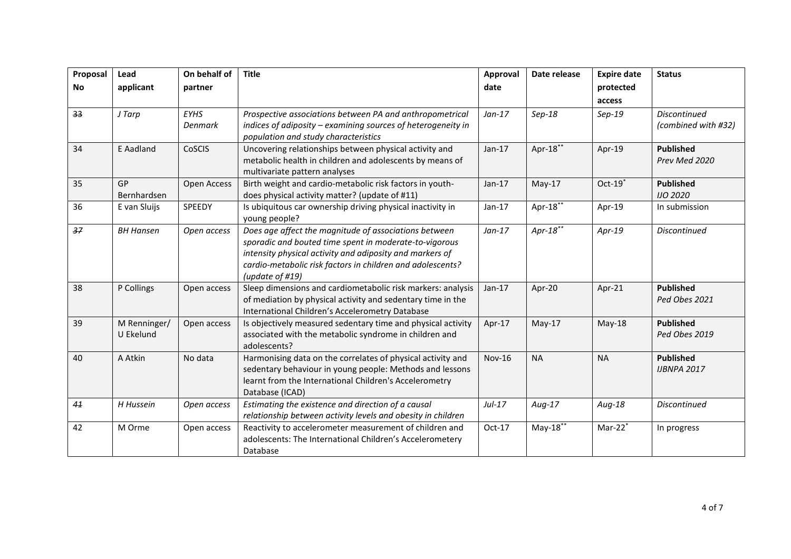| Proposal | Lead                      | On behalf of                  | <b>Title</b>                                                                                                                                                                                                                                                 | Approval      | Date release | <b>Expire date</b> | <b>Status</b>                              |
|----------|---------------------------|-------------------------------|--------------------------------------------------------------------------------------------------------------------------------------------------------------------------------------------------------------------------------------------------------------|---------------|--------------|--------------------|--------------------------------------------|
| No       | applicant                 | partner                       |                                                                                                                                                                                                                                                              | date          |              | protected          |                                            |
|          |                           |                               |                                                                                                                                                                                                                                                              |               |              | access             |                                            |
| 33       | J Tarp                    | <b>EYHS</b><br><b>Denmark</b> | Prospective associations between PA and anthropometrical<br>indices of adiposity - examining sources of heterogeneity in<br>population and study characteristics                                                                                             | $Jan-17$      | $Sep-18$     | $Sep-19$           | <b>Discontinued</b><br>(combined with #32) |
| 34       | E Aadland                 | <b>CoSCIS</b>                 | Uncovering relationships between physical activity and<br>metabolic health in children and adolescents by means of<br>multivariate pattern analyses                                                                                                          | $Jan-17$      | Apr-18**     | Apr-19             | <b>Published</b><br>Prev Med 2020          |
| 35       | <b>GP</b><br>Bernhardsen  | Open Access                   | Birth weight and cardio-metabolic risk factors in youth-<br>does physical activity matter? (update of #11)                                                                                                                                                   | $Jan-17$      | $May-17$     | $Oct-19$           | <b>Published</b><br><b>IJO 2020</b>        |
| 36       | E van Sluijs              | SPEEDY                        | Is ubiquitous car ownership driving physical inactivity in<br>young people?                                                                                                                                                                                  | $Jan-17$      | Apr-18**     | Apr-19             | In submission                              |
| 37       | <b>BH Hansen</b>          | Open access                   | Does age affect the magnitude of associations between<br>sporadic and bouted time spent in moderate-to-vigorous<br>intensity physical activity and adiposity and markers of<br>cardio-metabolic risk factors in children and adolescents?<br>(update of #19) | $Jan-17$      | Apr-18 $**$  | $Apr-19$           | Discontinued                               |
| 38       | P Collings                | Open access                   | Sleep dimensions and cardiometabolic risk markers: analysis<br>of mediation by physical activity and sedentary time in the<br>International Children's Accelerometry Database                                                                                | $Jan-17$      | Apr-20       | Apr-21             | <b>Published</b><br>Ped Obes 2021          |
| 39       | M Renninger/<br>U Ekelund | Open access                   | Is objectively measured sedentary time and physical activity<br>associated with the metabolic syndrome in children and<br>adolescents?                                                                                                                       | Apr-17        | $May-17$     | $May-18$           | <b>Published</b><br>Ped Obes 2019          |
| 40       | A Atkin                   | No data                       | Harmonising data on the correlates of physical activity and<br>sedentary behaviour in young people: Methods and lessons<br>learnt from the International Children's Accelerometry<br>Database (ICAD)                                                         | <b>Nov-16</b> | <b>NA</b>    | <b>NA</b>          | <b>Published</b><br><b>IJBNPA 2017</b>     |
| 41       | H Hussein                 | Open access                   | Estimating the existence and direction of a causal<br>relationship between activity levels and obesity in children                                                                                                                                           | $Jul-17$      | $Aug-17$     | Aug-18             | Discontinued                               |
| 42       | M Orme                    | Open access                   | Reactivity to accelerometer measurement of children and<br>adolescents: The International Children's Accelerometery<br>Database                                                                                                                              | Oct-17        | $May-18**$   | $Mar-22*$          | In progress                                |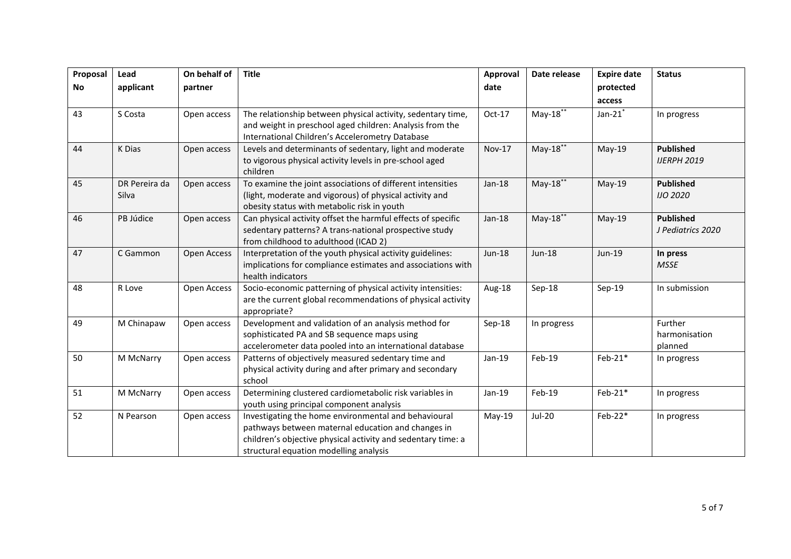| Proposal  | Lead                   | On behalf of | <b>Title</b>                                                                                                                                                                                                         | Approval      | Date release  | <b>Expire date</b> | <b>Status</b>                          |
|-----------|------------------------|--------------|----------------------------------------------------------------------------------------------------------------------------------------------------------------------------------------------------------------------|---------------|---------------|--------------------|----------------------------------------|
| <b>No</b> | applicant              | partner      |                                                                                                                                                                                                                      | date          |               | protected          |                                        |
|           |                        |              |                                                                                                                                                                                                                      |               |               | access             |                                        |
| 43        | S Costa                | Open access  | The relationship between physical activity, sedentary time,<br>and weight in preschool aged children: Analysis from the<br>International Children's Accelerometry Database                                           | Oct-17        | $May-18***$   | Jan- $21^*$        | In progress                            |
| 44        | K Dias                 | Open access  | Levels and determinants of sedentary, light and moderate<br>to vigorous physical activity levels in pre-school aged<br>children                                                                                      | <b>Nov-17</b> | $May-18***$   | $May-19$           | <b>Published</b><br><b>IJERPH 2019</b> |
| 45        | DR Pereira da<br>Silva | Open access  | To examine the joint associations of different intensities<br>(light, moderate and vigorous) of physical activity and<br>obesity status with metabolic risk in youth                                                 | $Jan-18$      | $May-18$      | $May-19$           | <b>Published</b><br><b>IJO 2020</b>    |
| 46        | PB Júdice              | Open access  | Can physical activity offset the harmful effects of specific<br>sedentary patterns? A trans-national prospective study<br>from childhood to adulthood (ICAD 2)                                                       | $Jan-18$      | $May-18$      | $May-19$           | <b>Published</b><br>J Pediatrics 2020  |
| 47        | C Gammon               | Open Access  | Interpretation of the youth physical activity guidelines:<br>implications for compliance estimates and associations with<br>health indicators                                                                        | Jun-18        | <b>Jun-18</b> | Jun-19             | In press<br><b>MSSE</b>                |
| 48        | R Love                 | Open Access  | Socio-economic patterning of physical activity intensities:<br>are the current global recommendations of physical activity<br>appropriate?                                                                           | Aug-18        | Sep-18        | Sep-19             | In submission                          |
| 49        | M Chinapaw             | Open access  | Development and validation of an analysis method for<br>sophisticated PA and SB sequence maps using<br>accelerometer data pooled into an international database                                                      | Sep-18        | In progress   |                    | Further<br>harmonisation<br>planned    |
| 50        | M McNarry              | Open access  | Patterns of objectively measured sedentary time and<br>physical activity during and after primary and secondary<br>school                                                                                            | Jan-19        | Feb-19        | $Feb-21*$          | In progress                            |
| 51        | M McNarry              | Open access  | Determining clustered cardiometabolic risk variables in<br>youth using principal component analysis                                                                                                                  | Jan-19        | Feb-19        | $Feb-21*$          | In progress                            |
| 52        | N Pearson              | Open access  | Investigating the home environmental and behavioural<br>pathways between maternal education and changes in<br>children's objective physical activity and sedentary time: a<br>structural equation modelling analysis | May-19        | <b>Jul-20</b> | Feb-22*            | In progress                            |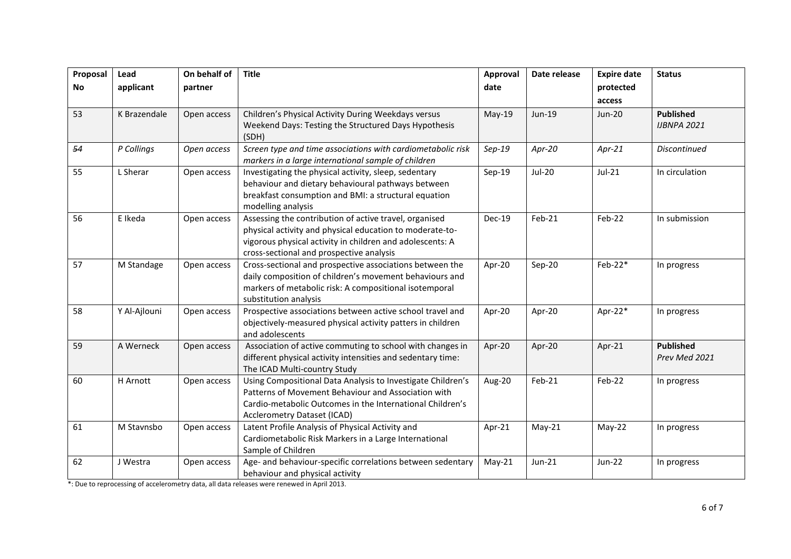| Proposal  | Lead         | On behalf of | <b>Title</b>                                                                                          | Approval | Date release  | <b>Expire date</b> | <b>Status</b>       |
|-----------|--------------|--------------|-------------------------------------------------------------------------------------------------------|----------|---------------|--------------------|---------------------|
| <b>No</b> | applicant    | partner      |                                                                                                       | date     |               | protected          |                     |
|           |              |              |                                                                                                       |          |               | access             |                     |
| 53        | K Brazendale | Open access  | Children's Physical Activity During Weekdays versus                                                   | $May-19$ | Jun-19        | <b>Jun-20</b>      | <b>Published</b>    |
|           |              |              | Weekend Days: Testing the Structured Days Hypothesis                                                  |          |               |                    | <b>IJBNPA 2021</b>  |
|           |              |              | (SDH)                                                                                                 |          |               |                    |                     |
| 54        | P Collings   | Open access  | Screen type and time associations with cardiometabolic risk                                           | $Sep-19$ | Apr-20        | $Apr-21$           | <b>Discontinued</b> |
|           |              |              | markers in a large international sample of children                                                   |          |               |                    |                     |
| 55        | L Sherar     | Open access  | Investigating the physical activity, sleep, sedentary                                                 | Sep-19   | <b>Jul-20</b> | $Jul-21$           | In circulation      |
|           |              |              | behaviour and dietary behavioural pathways between                                                    |          |               |                    |                     |
|           |              |              | breakfast consumption and BMI: a structural equation                                                  |          |               |                    |                     |
|           |              |              | modelling analysis                                                                                    |          |               |                    |                     |
| 56        | E Ikeda      | Open access  | Assessing the contribution of active travel, organised                                                | Dec-19   | $Feb-21$      | Feb-22             | In submission       |
|           |              |              | physical activity and physical education to moderate-to-                                              |          |               |                    |                     |
|           |              |              | vigorous physical activity in children and adolescents: A<br>cross-sectional and prospective analysis |          |               |                    |                     |
| 57        | M Standage   | Open access  | Cross-sectional and prospective associations between the                                              | Apr-20   | Sep-20        | Feb-22*            |                     |
|           |              |              | daily composition of children's movement behaviours and                                               |          |               |                    | In progress         |
|           |              |              | markers of metabolic risk: A compositional isotemporal                                                |          |               |                    |                     |
|           |              |              | substitution analysis                                                                                 |          |               |                    |                     |
| 58        | Y Al-Ajlouni | Open access  | Prospective associations between active school travel and                                             | Apr-20   | Apr-20        | Apr-22 $*$         | In progress         |
|           |              |              | objectively-measured physical activity patters in children                                            |          |               |                    |                     |
|           |              |              | and adolescents                                                                                       |          |               |                    |                     |
| 59        | A Werneck    | Open access  | Association of active commuting to school with changes in                                             | Apr-20   | Apr-20        | Apr-21             | <b>Published</b>    |
|           |              |              | different physical activity intensities and sedentary time:                                           |          |               |                    | Prev Med 2021       |
|           |              |              | The ICAD Multi-country Study                                                                          |          |               |                    |                     |
| 60        | H Arnott     | Open access  | Using Compositional Data Analysis to Investigate Children's                                           | Aug-20   | $Feb-21$      | Feb-22             | In progress         |
|           |              |              | Patterns of Movement Behaviour and Association with                                                   |          |               |                    |                     |
|           |              |              | Cardio-metabolic Outcomes in the International Children's                                             |          |               |                    |                     |
|           |              |              | <b>Acclerometry Dataset (ICAD)</b>                                                                    |          |               |                    |                     |
| 61        | M Stavnsbo   | Open access  | Latent Profile Analysis of Physical Activity and                                                      | Apr-21   | $May-21$      | $May-22$           | In progress         |
|           |              |              | Cardiometabolic Risk Markers in a Large International                                                 |          |               |                    |                     |
|           |              |              | Sample of Children                                                                                    |          |               |                    |                     |
| 62        | J Westra     | Open access  | Age- and behaviour-specific correlations between sedentary                                            | $May-21$ | Jun-21        | <b>Jun-22</b>      | In progress         |
|           |              |              | behaviour and physical activity                                                                       |          |               |                    |                     |

\*: Due to reprocessing of accelerometry data, all data releases were renewed in April 2013.